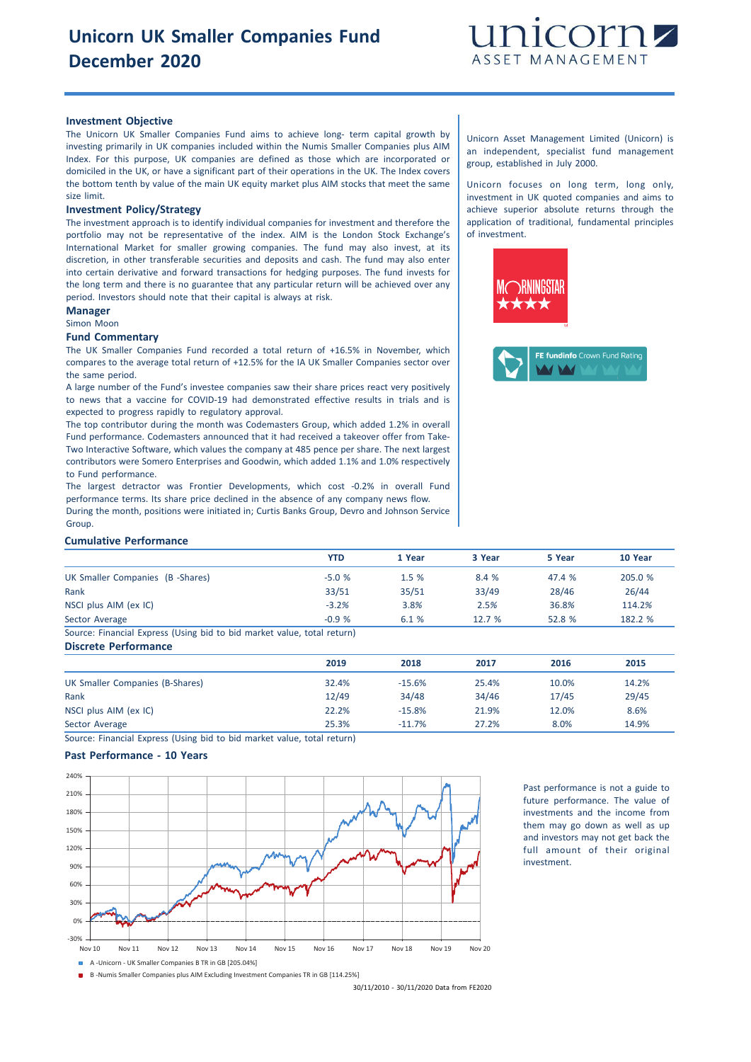

# **Investment Objective**

The Unicorn UK Smaller Companies Fund aims to achieve long- term capital growth by investing primarily in UK companies included within the Numis Smaller Companies plus AIM Index. For this purpose, UK companies are defined as those which are incorporated or domiciled in the UK, or have a significant part of their operations in the UK. The Index covers the bottom tenth by value of the main UK equity market plus AIM stocks that meet the same size limit.

#### **Investment Policy/Strategy**

The investment approach is to identify individual companies for investment and therefore the portfolio may not be representative of the index. AIM is the London Stock Exchange's International Market for smaller growing companies. The fund may also invest, at its discretion, in other transferable securities and deposits and cash. The fund may also enter into certain derivative and forward transactions for hedging purposes. The fund invests for the long term and there is no guarantee that any particular return will be achieved over any period. Investors should note that their capital is always at risk.

### **Manager**

#### Simon Moon

#### **Fund Commentary**

The UK Smaller Companies Fund recorded a total return of +16.5% in November, which compares to the average total return of +12.5% for the IA UK Smaller Companies sector over the same period.

A large number of the Fund's investee companies saw their share prices react very positively to news that a vaccine for COVID-19 had demonstrated effective results in trials and is expected to progress rapidly to regulatory approval.

The top contributor during the month was Codemasters Group, which added 1.2% in overall Fund performance. Codemasters announced that it had received a takeover offer from Take-Two Interactive Software, which values the company at 485 pence per share. The next largest contributors were Somero Enterprises and Goodwin, which added 1.1% and 1.0% respectively to Fund performance.

The largest detractor was Frontier Developments, which cost -0.2% in overall Fund performance terms. Its share price declined in the absence of any company news flow. During the month, positions were initiated in; Curtis Banks Group, Devro and Johnson Service Group.

Unicorn Asset Management Limited (Unicorn) is an independent, specialist fund management group, established in July 2000.

Unicorn focuses on long term, long only, investment in UK quoted companies and aims to achieve superior absolute returns through the application of traditional, fundamental principles of investment.





#### **Cumulative Performance**

|                                                                         | <b>YTD</b> | 1 Year | 3 Year | 5 Year | 10 Year |
|-------------------------------------------------------------------------|------------|--------|--------|--------|---------|
| UK Smaller Companies (B -Shares)                                        | $-5.0%$    | 1.5%   | 8.4 %  | 47.4 % | 205.0 % |
| Rank                                                                    | 33/51      | 35/51  | 33/49  | 28/46  | 26/44   |
| NSCI plus AIM (ex IC)                                                   | $-3.2%$    | 3.8%   | 2.5%   | 36.8%  | 114.2%  |
| Sector Average                                                          | $-0.9%$    | 6.1 %  | 12.7%  | 52.8 % | 182.2 % |
| Source: Financial Express (Using bid to bid market value, total return) |            |        |        |        |         |

Source: Financial Express (Using bid to bid market value, total return) **Discrete Performance**

|                                 | 2019  | 2018     | 2017  | 2016  | 2015  |
|---------------------------------|-------|----------|-------|-------|-------|
| UK Smaller Companies (B-Shares) | 32.4% | $-15.6%$ | 25.4% | 10.0% | 14.2% |
| Rank                            | 12/49 | 34/48    | 34/46 | 17/45 | 29/45 |
| NSCI plus AIM (ex IC)           | 22.2% | $-15.8%$ | 21.9% | 12.0% | 8.6%  |
| Sector Average                  | 25.3% | $-11.7%$ | 27.2% | 8.0%  | 14.9% |

Source: Financial Express (Using bid to bid market value, total return)

## **Past Performance - 10 Years**



Past performance is not a guide to future performance. The value of investments and the income from them may go down as well as up and investors may not get back the full amount of their original investment.

B -Numis Smaller Companies plus AIM Excluding Investment Companies TR in GB [114.25%]

30/11/2010 - 30/11/2020 Data from FE2020